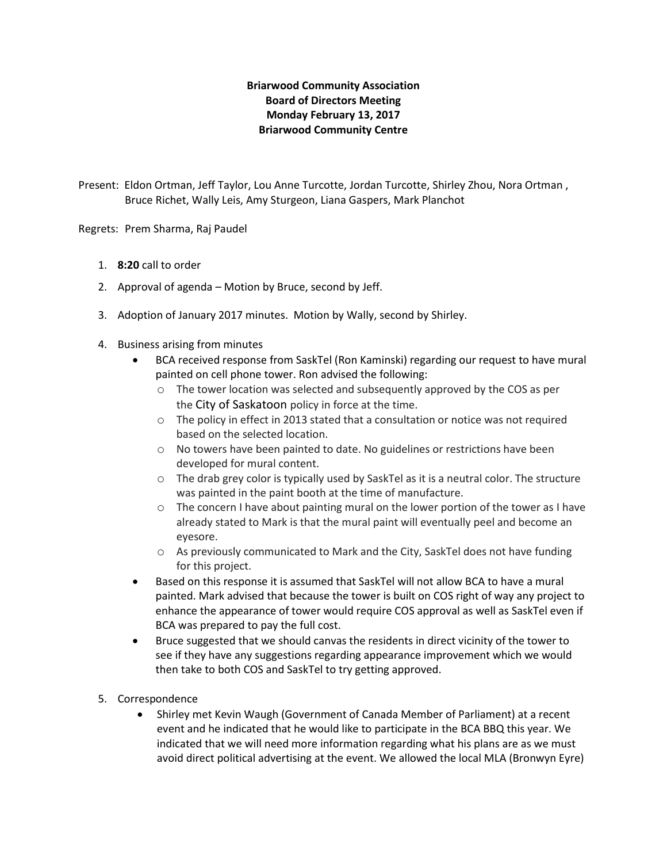# **Briarwood Community Association Board of Directors Meeting Monday February 13, 2017 Briarwood Community Centre**

Present: Eldon Ortman, Jeff Taylor, Lou Anne Turcotte, Jordan Turcotte, Shirley Zhou, Nora Ortman , Bruce Richet, Wally Leis, Amy Sturgeon, Liana Gaspers, Mark Planchot

Regrets: Prem Sharma, Raj Paudel

- 1. **8:20** call to order
- 2. Approval of agenda Motion by Bruce, second by Jeff.
- 3. Adoption of January 2017 minutes. Motion by Wally, second by Shirley.
- 4. Business arising from minutes
	- BCA received response from SaskTel (Ron Kaminski) regarding our request to have mural painted on cell phone tower. Ron advised the following:
		- o The tower location was selected and subsequently approved by the COS as per the City of Saskatoon policy in force at the time.
		- $\circ$  The policy in effect in 2013 stated that a consultation or notice was not required based on the selected location.
		- o No towers have been painted to date. No guidelines or restrictions have been developed for mural content.
		- o The drab grey color is typically used by SaskTel as it is a neutral color. The structure was painted in the paint booth at the time of manufacture.
		- o The concern I have about painting mural on the lower portion of the tower as I have already stated to Mark is that the mural paint will eventually peel and become an eyesore.
		- o As previously communicated to Mark and the City, SaskTel does not have funding for this project.
	- Based on this response it is assumed that SaskTel will not allow BCA to have a mural painted. Mark advised that because the tower is built on COS right of way any project to enhance the appearance of tower would require COS approval as well as SaskTel even if BCA was prepared to pay the full cost.
	- Bruce suggested that we should canvas the residents in direct vicinity of the tower to see if they have any suggestions regarding appearance improvement which we would then take to both COS and SaskTel to try getting approved.
- 5. Correspondence
	- Shirley met Kevin Waugh (Government of Canada Member of Parliament) at a recent event and he indicated that he would like to participate in the BCA BBQ this year. We indicated that we will need more information regarding what his plans are as we must avoid direct political advertising at the event. We allowed the local MLA (Bronwyn Eyre)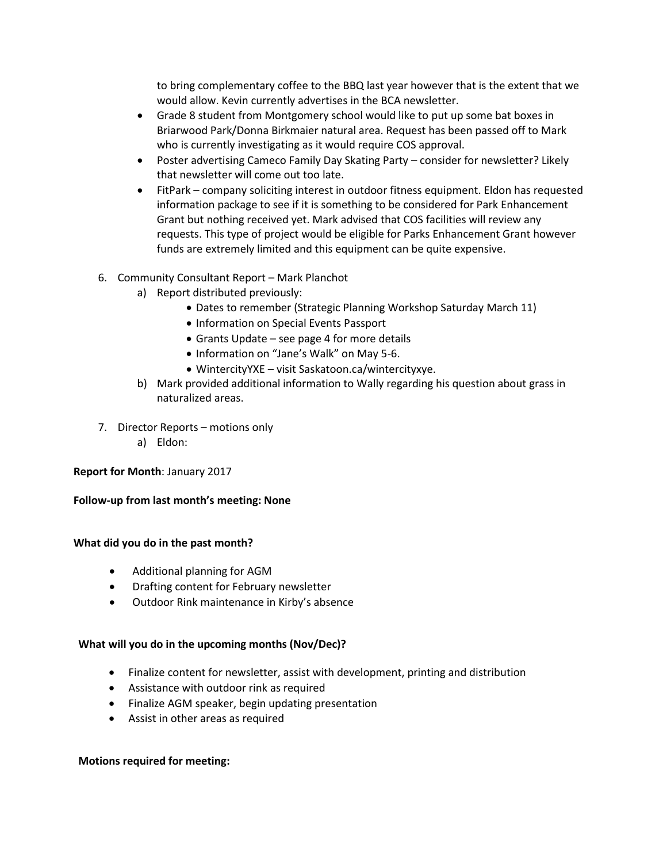to bring complementary coffee to the BBQ last year however that is the extent that we would allow. Kevin currently advertises in the BCA newsletter.

- Grade 8 student from Montgomery school would like to put up some bat boxes in Briarwood Park/Donna Birkmaier natural area. Request has been passed off to Mark who is currently investigating as it would require COS approval.
- Poster advertising Cameco Family Day Skating Party consider for newsletter? Likely that newsletter will come out too late.
- FitPark company soliciting interest in outdoor fitness equipment. Eldon has requested information package to see if it is something to be considered for Park Enhancement Grant but nothing received yet. Mark advised that COS facilities will review any requests. This type of project would be eligible for Parks Enhancement Grant however funds are extremely limited and this equipment can be quite expensive.
- 6. Community Consultant Report Mark Planchot
	- a) Report distributed previously:
		- Dates to remember (Strategic Planning Workshop Saturday March 11)
		- Information on Special Events Passport
		- Grants Update see page 4 for more details
		- Information on "Jane's Walk" on May 5-6.
		- WintercityYXE visit Saskatoon.ca/wintercityxye.
	- b) Mark provided additional information to Wally regarding his question about grass in naturalized areas.
- 7. Director Reports motions only
	- a) Eldon:

**Report for Month**: January 2017

**Follow-up from last month's meeting: None**

### **What did you do in the past month?**

- Additional planning for AGM
- Drafting content for February newsletter
- Outdoor Rink maintenance in Kirby's absence

### **What will you do in the upcoming months (Nov/Dec)?**

- Finalize content for newsletter, assist with development, printing and distribution
- Assistance with outdoor rink as required
- Finalize AGM speaker, begin updating presentation
- Assist in other areas as required

### **Motions required for meeting:**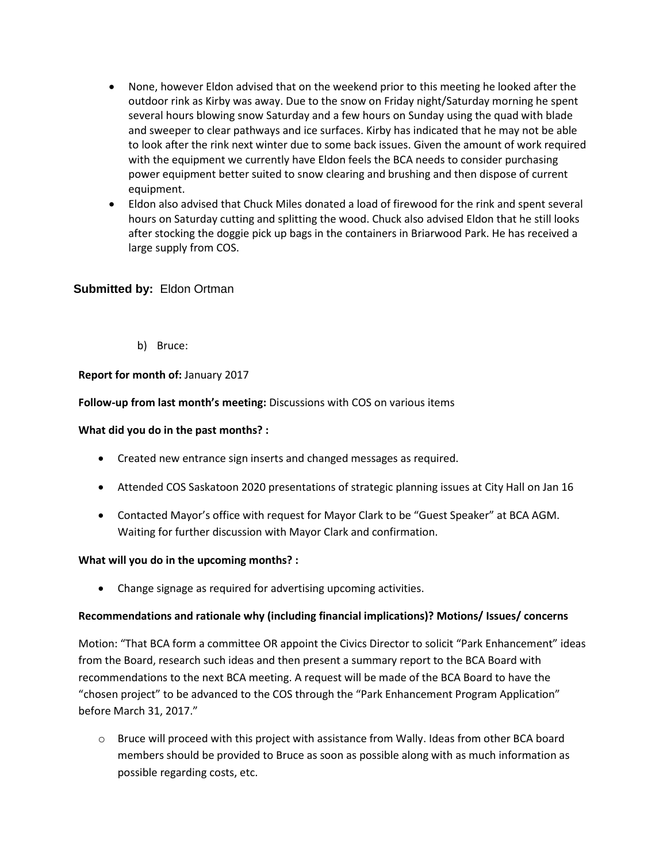- None, however Eldon advised that on the weekend prior to this meeting he looked after the outdoor rink as Kirby was away. Due to the snow on Friday night/Saturday morning he spent several hours blowing snow Saturday and a few hours on Sunday using the quad with blade and sweeper to clear pathways and ice surfaces. Kirby has indicated that he may not be able to look after the rink next winter due to some back issues. Given the amount of work required with the equipment we currently have Eldon feels the BCA needs to consider purchasing power equipment better suited to snow clearing and brushing and then dispose of current equipment.
- Eldon also advised that Chuck Miles donated a load of firewood for the rink and spent several hours on Saturday cutting and splitting the wood. Chuck also advised Eldon that he still looks after stocking the doggie pick up bags in the containers in Briarwood Park. He has received a large supply from COS.

## **Submitted by:** Eldon Ortman

b) Bruce:

## **Report for month of:** January 2017

### **Follow-up from last month's meeting:** Discussions with COS on various items

### **What did you do in the past months? :**

- Created new entrance sign inserts and changed messages as required.
- Attended COS Saskatoon 2020 presentations of strategic planning issues at City Hall on Jan 16
- Contacted Mayor's office with request for Mayor Clark to be "Guest Speaker" at BCA AGM. Waiting for further discussion with Mayor Clark and confirmation.

### **What will you do in the upcoming months? :**

Change signage as required for advertising upcoming activities.

### **Recommendations and rationale why (including financial implications)? Motions/ Issues/ concerns**

Motion: "That BCA form a committee OR appoint the Civics Director to solicit "Park Enhancement" ideas from the Board, research such ideas and then present a summary report to the BCA Board with recommendations to the next BCA meeting. A request will be made of the BCA Board to have the "chosen project" to be advanced to the COS through the "Park Enhancement Program Application" before March 31, 2017."

 $\circ$  Bruce will proceed with this project with assistance from Wally. Ideas from other BCA board members should be provided to Bruce as soon as possible along with as much information as possible regarding costs, etc.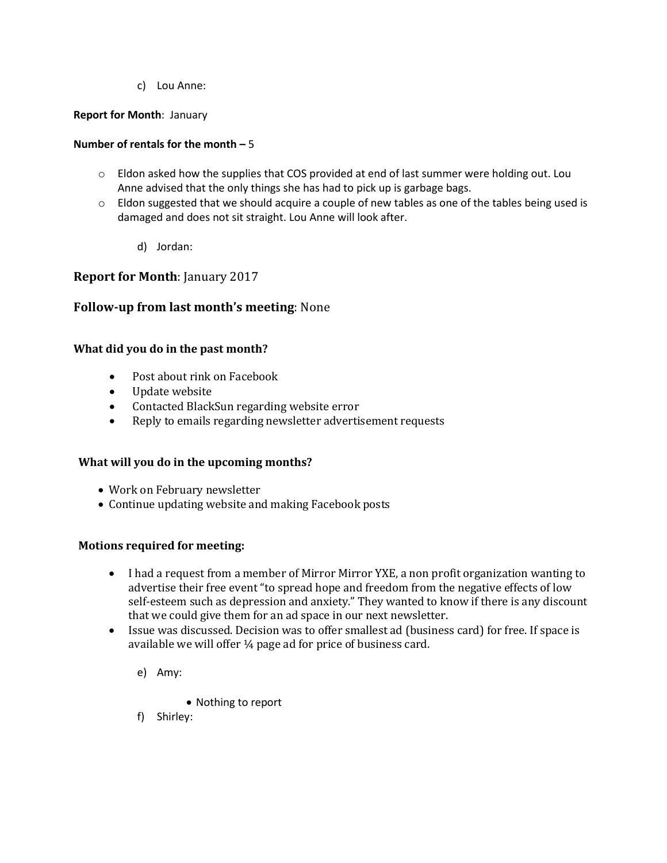c) Lou Anne:

## **Report for Month**: January

## **Number of rentals for the month –** 5

- o Eldon asked how the supplies that COS provided at end of last summer were holding out. Lou Anne advised that the only things she has had to pick up is garbage bags.
- $\circ$  Eldon suggested that we should acquire a couple of new tables as one of the tables being used is damaged and does not sit straight. Lou Anne will look after.
	- d) Jordan:

# **Report for Month**: January 2017

# **Follow-up from last month's meeting**: None

## **What did you do in the past month?**

- Post about rink on Facebook
- Update website
- Contacted BlackSun regarding website error
- Reply to emails regarding newsletter advertisement requests

# **What will you do in the upcoming months?**

- Work on February newsletter
- Continue updating website and making Facebook posts

## **Motions required for meeting:**

- I had a request from a member of Mirror Mirror YXE, a non profit organization wanting to advertise their free event "to spread hope and freedom from the negative effects of low self-esteem such as depression and anxiety." They wanted to know if there is any discount that we could give them for an ad space in our next newsletter.
- Issue was discussed. Decision was to offer smallest ad (business card) for free. If space is available we will offer ¼ page ad for price of business card.
	- e) Amy:
- Nothing to report
- f) Shirley: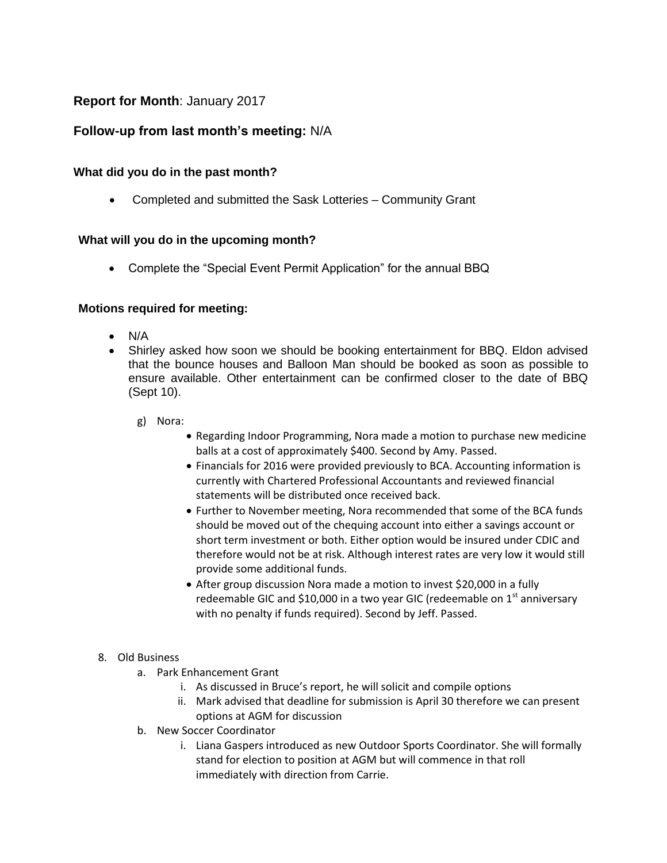# **Report for Month**: January 2017

# **Follow-up from last month's meeting:** N/A

# **What did you do in the past month?**

Completed and submitted the Sask Lotteries – Community Grant

# **What will you do in the upcoming month?**

• Complete the "Special Event Permit Application" for the annual BBQ

# **Motions required for meeting:**

- N/A
- Shirley asked how soon we should be booking entertainment for BBQ. Eldon advised that the bounce houses and Balloon Man should be booked as soon as possible to ensure available. Other entertainment can be confirmed closer to the date of BBQ (Sept 10).
	- g) Nora:
		- Regarding Indoor Programming, Nora made a motion to purchase new medicine balls at a cost of approximately \$400. Second by Amy. Passed.
		- Financials for 2016 were provided previously to BCA. Accounting information is currently with Chartered Professional Accountants and reviewed financial statements will be distributed once received back.
		- Further to November meeting, Nora recommended that some of the BCA funds should be moved out of the chequing account into either a savings account or short term investment or both. Either option would be insured under CDIC and therefore would not be at risk. Although interest rates are very low it would still provide some additional funds.
		- After group discussion Nora made a motion to invest \$20,000 in a fully redeemable GIC and \$10,000 in a two year GIC (redeemable on  $1<sup>st</sup>$  anniversary with no penalty if funds required). Second by Jeff. Passed.

## 8. Old Business

- a. Park Enhancement Grant
	- i. As discussed in Bruce's report, he will solicit and compile options
	- ii. Mark advised that deadline for submission is April 30 therefore we can present options at AGM for discussion
- b. New Soccer Coordinator
	- i. Liana Gaspers introduced as new Outdoor Sports Coordinator. She will formally stand for election to position at AGM but will commence in that roll immediately with direction from Carrie.